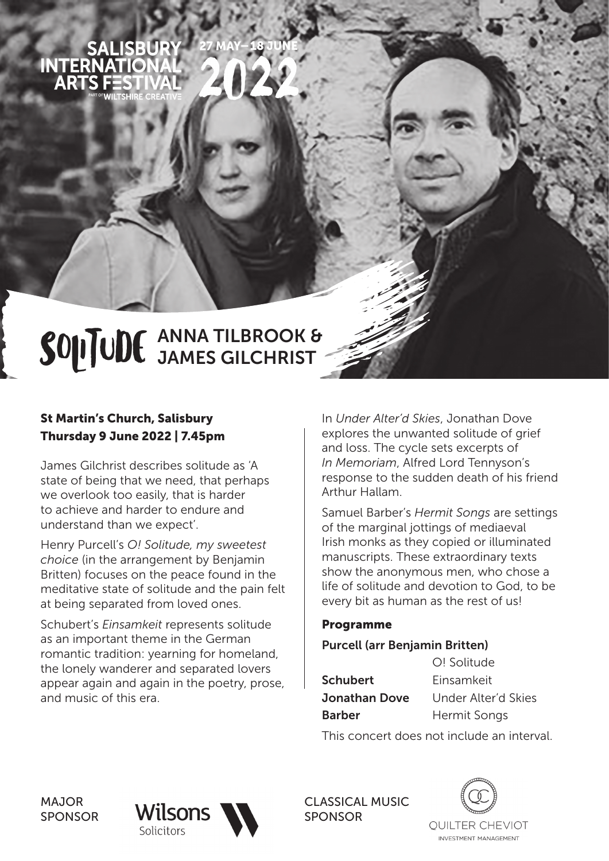

# SOLITUDE ANNA TILBROOK & JAMES GILCHRIST

### St Martin's Church, Salisbury Thursday 9 June 2022 | 7.45pm

James Gilchrist describes solitude as 'A state of being that we need, that perhaps we overlook too easily, that is harder to achieve and harder to endure and understand than we expect'.

Henry Purcell's *O! Solitude, my sweetest choice* (in the arrangement by Benjamin Britten) focuses on the peace found in the meditative state of solitude and the pain felt at being separated from loved ones.

Schubert's *Einsamkeit* represents solitude as an important theme in the German romantic tradition: yearning for homeland, the lonely wanderer and separated lovers appear again and again in the poetry, prose, and music of this era.

In *Under Alter'd Skies*, Jonathan Dove explores the unwanted solitude of grief and loss. The cycle sets excerpts of *In Memoriam*, Alfred Lord Tennyson's response to the sudden death of his friend Arthur Hallam.

Samuel Barber's *Hermit Songs* are settings of the marginal jottings of mediaeval Irish monks as they copied or illuminated manuscripts. These extraordinary texts show the anonymous men, who chose a life of solitude and devotion to God, to be every bit as human as the rest of us!

#### Programme

#### Purcell (arr Benjamin Britten)

|                 | O! Solitude         |
|-----------------|---------------------|
| <b>Schubert</b> | Einsamkeit          |
| Jonathan Dove   | Under Alter'd Skies |
| <b>Barber</b>   | Hermit Songs        |
|                 |                     |

This concert does not include an interval.

MAJOR SPONSOR



CLASSICAL MUSIC SPONSOR